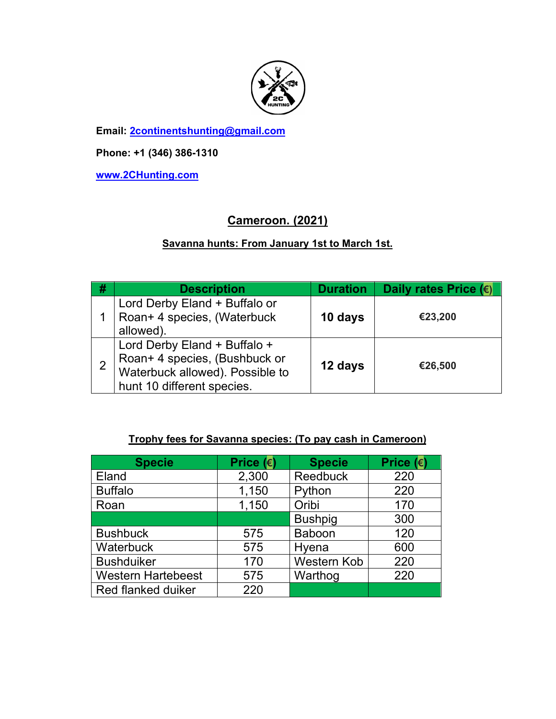

**Email: 2continentshunting@gmail.com**

**Phone: +1 (346) 386-1310** 

**www.2CHunting.com**

# **Cameroon. (2021)**

### **Savanna hunts: From January 1st to March 1st.**

| - # | <b>Description</b>                                                                                                             | <b>Duration</b> | Daily rates Price $(\epsilon)$ |
|-----|--------------------------------------------------------------------------------------------------------------------------------|-----------------|--------------------------------|
|     | Lord Derby Eland + Buffalo or<br>Roan+ 4 species, (Waterbuck<br>allowed).                                                      | 10 days         | €23,200                        |
|     | Lord Derby Eland + Buffalo +<br>Roan+ 4 species, (Bushbuck or<br>Waterbuck allowed). Possible to<br>hunt 10 different species. | 12 days         | €26,500                        |

#### **Trophy fees for Savanna species: (To pay cash in Cameroon)**

| <b>Specie</b>             | Price $(e)$ | <b>Specie</b>      | Price $(\epsilon)$ |
|---------------------------|-------------|--------------------|--------------------|
| Eland                     | 2,300       | <b>Reedbuck</b>    | 220                |
| <b>Buffalo</b>            | 1,150       | Python             | 220                |
| Roan                      | 1,150       | Oribi              | 170                |
|                           |             | <b>Bushpig</b>     | 300                |
| <b>Bushbuck</b>           | 575         | <b>Baboon</b>      | 120                |
| <b>Waterbuck</b>          | 575         | Hyena              | 600                |
| <b>Bushduiker</b>         | 170         | <b>Western Kob</b> | 220                |
| <b>Western Hartebeest</b> | 575         | Warthog            | 220                |
| Red flanked duiker        | 220         |                    |                    |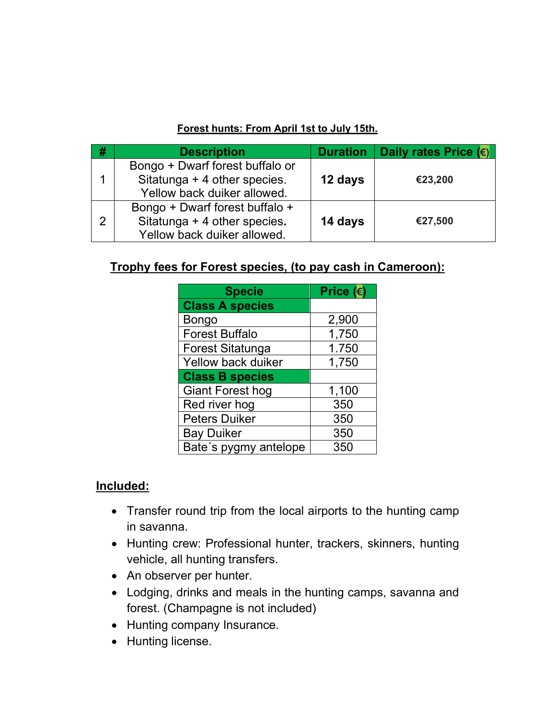#### **Forest hunts: From April 1st to July 15th.**

| -# | <b>Description</b>              |         | Duration   Daily rates Price $(\epsilon)$ |
|----|---------------------------------|---------|-------------------------------------------|
|    | Bongo + Dwarf forest buffalo or |         |                                           |
|    | Sitatunga + 4 other species.    | 12 days | €23,200                                   |
|    | Yellow back duiker allowed.     |         |                                           |
|    | Bongo + Dwarf forest buffalo +  |         |                                           |
| າ  | Sitatunga + 4 other species.    | 14 days | €27,500                                   |
|    | Yellow back duiker allowed.     |         |                                           |

# **Trophy fees for Forest species, (to pay cash in Cameroon):**

| <b>Specie</b>           | Price $(\epsilon)$ |
|-------------------------|--------------------|
| <b>Class A species</b>  |                    |
| Bongo                   | 2,900              |
| <b>Forest Buffalo</b>   | 1,750              |
| <b>Forest Sitatunga</b> | 1.750              |
| Yellow back duiker      | 1,750              |
| <b>Class B species</b>  |                    |
| <b>Giant Forest hog</b> | 1,100              |
| Red river hog           | 350                |
| <b>Peters Duiker</b>    | 350                |
| <b>Bay Duiker</b>       | 350                |
| Bate's pygmy antelope   | 350                |

## **Included:**

- Transfer round trip from the local airports to the hunting camp in savanna.
- Hunting crew: Professional hunter, trackers, skinners, hunting vehicle, all hunting transfers.
- An observer per hunter.
- Lodging, drinks and meals in the hunting camps, savanna and forest. (Champagne is not included)
- Hunting company Insurance.
- Hunting license.